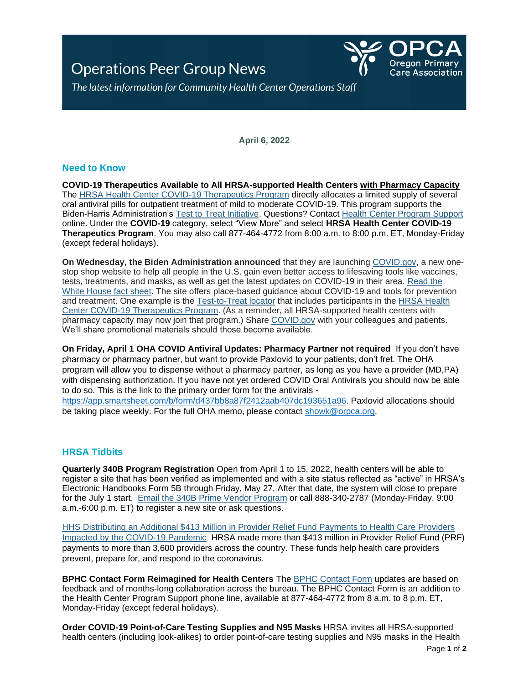**Operations Peer Group News** 



The latest information for Community Health Center Operations Staff

**April 6, 2022**

# **Need to Know**

**COVID-19 Therapeutics Available to All HRSA-supported Health Centers with Pharmacy Capacity** The [HRSA Health Center COVID-19 Therapeutics Program](https://lnks.gd/l/eyJhbGciOiJIUzI1NiJ9.eyJidWxsZXRpbl9saW5rX2lkIjoxMDAsInVyaSI6ImJwMjpjbGljayIsImJ1bGxldGluX2lkIjoiMjAyMjAzMjkuNTU1OTkyOTEiLCJ1cmwiOiJodHRwczovL2JwaGMuaHJzYS5nb3YvZW1lcmdlbmN5LXJlc3BvbnNlL2NvdmlkLTE5LXRoZXJhcGV1dGljcyJ9.tf0MDZknLHKzDYmMVOJZwX1RV8rCLLExDVSyxVNzfEM/s/976936222/br/128781735324-l) directly allocates a limited supply of several oral antiviral pills for outpatient treatment of mild to moderate COVID-19. This program supports the Biden-Harris Administration's [Test to Treat Initiative.](https://lnks.gd/l/eyJhbGciOiJIUzI1NiJ9.eyJidWxsZXRpbl9saW5rX2lkIjoxMDEsInVyaSI6ImJwMjpjbGljayIsImJ1bGxldGluX2lkIjoiMjAyMjAzMjkuNTU1OTkyOTEiLCJ1cmwiOiJodHRwczovL2FzcHIuaGhzLmdvdi9UZXN0VG9UcmVhdC9QYWdlcy9kZWZhdWx0LmFzcHgifQ.bp348LX8w8P5eiid8dspE9ZYXCS5O8LVisOiQIYs7aQ/s/976936222/br/128781735324-l) Questions? Contact [Health Center Program Support](https://lnks.gd/l/eyJhbGciOiJIUzI1NiJ9.eyJidWxsZXRpbl9saW5rX2lkIjoxMDIsInVyaSI6ImJwMjpjbGljayIsImJ1bGxldGluX2lkIjoiMjAyMjAzMjkuNTU1OTkyOTEiLCJ1cmwiOiJodHRwczovL2hyc2EuZm9yY2UuY29tL3N1cHBvcnQvcy8ifQ.dJR_y6GuVtEpnp49qEbPHBdSUB-t1Fi0GS4l0eF_WUI/s/976936222/br/128781735324-l) online. Under the **COVID-19** category, select "View More" and select **HRSA Health Center COVID-19 Therapeutics Program**. You may also call 877-464-4772 from 8:00 a.m. to 8:00 p.m. ET, Monday-Friday (except federal holidays).

**On Wednesday, the Biden Administration announced** that they are launching [COVID.gov,](https://lnks.gd/l/eyJhbGciOiJIUzI1NiJ9.eyJidWxsZXRpbl9saW5rX2lkIjoxMDAsInVyaSI6ImJwMjpjbGljayIsImJ1bGxldGluX2lkIjoiMjAyMjAzMzAuNTU2NzQ0NTEiLCJ1cmwiOiJodHRwczovL3d3dy5jb3ZpZC5nb3YvIn0.mwjdS8qijIk8IkbSMfXejhnoooRJGTCH0IWWmSmi24I/s/278750843/br/128867806552-l) a new onestop shop website to help all people in the U.S. gain even better access to lifesaving tools like vaccines, tests, treatments, and masks, as well as get the latest updates on COVID-19 in their area. [Read the](https://lnks.gd/l/eyJhbGciOiJIUzI1NiJ9.eyJidWxsZXRpbl9saW5rX2lkIjoxMDEsInVyaSI6ImJwMjpjbGljayIsImJ1bGxldGluX2lkIjoiMjAyMjAzMzAuNTU2NzQ0NTEiLCJ1cmwiOiJodHRwczovL3d3dy53aGl0ZWhvdXNlLmdvdi9icmllZmluZy1yb29tL3N0YXRlbWVudHMtcmVsZWFzZXMvMjAyMi8wMy8zMC9mYWN0LXNoZWV0LWJpZGVuLWFkbWluaXN0cmF0aW9uLWxhdW5jaGVzLWNvdmlkLWdvdi1hLW5ldy1vbmUtc3RvcC1zaG9wLXdlYnNpdGUtZm9yLXZhY2NpbmVzLXRlc3RzLXRyZWF0bWVudHMtbWFza3MtYW5kLXRoZS1sYXRlc3QtY292aWQtMTktaW5mb3JtYXRpb24vIn0.wIHG1A2xHOIo4_dPkoYkOhQrUEOQmMI7vYP1qBzcX4Q/s/278750843/br/128867806552-l)  [White House fact sheet.](https://lnks.gd/l/eyJhbGciOiJIUzI1NiJ9.eyJidWxsZXRpbl9saW5rX2lkIjoxMDEsInVyaSI6ImJwMjpjbGljayIsImJ1bGxldGluX2lkIjoiMjAyMjAzMzAuNTU2NzQ0NTEiLCJ1cmwiOiJodHRwczovL3d3dy53aGl0ZWhvdXNlLmdvdi9icmllZmluZy1yb29tL3N0YXRlbWVudHMtcmVsZWFzZXMvMjAyMi8wMy8zMC9mYWN0LXNoZWV0LWJpZGVuLWFkbWluaXN0cmF0aW9uLWxhdW5jaGVzLWNvdmlkLWdvdi1hLW5ldy1vbmUtc3RvcC1zaG9wLXdlYnNpdGUtZm9yLXZhY2NpbmVzLXRlc3RzLXRyZWF0bWVudHMtbWFza3MtYW5kLXRoZS1sYXRlc3QtY292aWQtMTktaW5mb3JtYXRpb24vIn0.wIHG1A2xHOIo4_dPkoYkOhQrUEOQmMI7vYP1qBzcX4Q/s/278750843/br/128867806552-l) The site offers place-based guidance about COVID-19 and tools for prevention and treatment. One example is the [Test-to-Treat locator](https://lnks.gd/l/eyJhbGciOiJIUzI1NiJ9.eyJidWxsZXRpbl9saW5rX2lkIjoxMDIsInVyaSI6ImJwMjpjbGljayIsImJ1bGxldGluX2lkIjoiMjAyMjAzMzAuNTU2NzQ0NTEiLCJ1cmwiOiJodHRwczovL2NvdmlkLTE5LXRlc3QtdG8tdHJlYXQtbG9jYXRvci1kaGhzLmh1Yi5hcmNnaXMuY29tLyJ9.OBUmcpIks-jg2FN--9KYehLAIzNmHrbW_Fd3N5cwuG0/s/278750843/br/128867806552-l) that includes participants in the [HRSA Health](https://lnks.gd/l/eyJhbGciOiJIUzI1NiJ9.eyJidWxsZXRpbl9saW5rX2lkIjoxMDMsInVyaSI6ImJwMjpjbGljayIsImJ1bGxldGluX2lkIjoiMjAyMjAzMzAuNTU2NzQ0NTEiLCJ1cmwiOiJodHRwczovL2JwaGMuaHJzYS5nb3YvZW1lcmdlbmN5LXJlc3BvbnNlL2NvdmlkLTE5LXRoZXJhcGV1dGljcyJ9.ZD_Xm1lD3pj4GmEE7a4qLDgTiYiyAxYLGk8Kw_s6ysY/s/278750843/br/128867806552-l)  [Center COVID-19 Therapeutics Program.](https://lnks.gd/l/eyJhbGciOiJIUzI1NiJ9.eyJidWxsZXRpbl9saW5rX2lkIjoxMDMsInVyaSI6ImJwMjpjbGljayIsImJ1bGxldGluX2lkIjoiMjAyMjAzMzAuNTU2NzQ0NTEiLCJ1cmwiOiJodHRwczovL2JwaGMuaHJzYS5nb3YvZW1lcmdlbmN5LXJlc3BvbnNlL2NvdmlkLTE5LXRoZXJhcGV1dGljcyJ9.ZD_Xm1lD3pj4GmEE7a4qLDgTiYiyAxYLGk8Kw_s6ysY/s/278750843/br/128867806552-l) (As a reminder, all HRSA-supported health centers with pharmacy capacity may now join that program.) Share [COVID.gov](https://lnks.gd/l/eyJhbGciOiJIUzI1NiJ9.eyJidWxsZXRpbl9saW5rX2lkIjoxMDQsInVyaSI6ImJwMjpjbGljayIsImJ1bGxldGluX2lkIjoiMjAyMjAzMzAuNTU2NzQ0NTEiLCJ1cmwiOiJodHRwczovL3d3dy5jb3ZpZC5nb3YvIn0.naYKgmvQhuMSLw3oqxqrUIwXTFzY50cco_uj3RMTubs/s/278750843/br/128867806552-l) with your colleagues and patients. We'll share promotional materials should those become available.

**On Friday, April 1 OHA COVID Antiviral Updates: Pharmacy Partner not required** If you don't have pharmacy or pharmacy partner, but want to provide Paxlovid to your patients, don't fret. The OHA program will allow you to dispense without a pharmacy partner, as long as you have a provider (MD,PA) with dispensing authorization. If you have not yet ordered COVID Oral Antivirals you should now be able to do so. This is the link to the primary order form for the antivirals -

[https://app.smartsheet.com/b/form/d437bb8a87f2412aab407dc193651a96.](https://app.smartsheet.com/b/form/d437bb8a87f2412aab407dc193651a96) Paxlovid allocations should be taking place weekly. For the full OHA memo, please contact [showk@orpca.org.](mailto:showk@orpca.org)

# **HRSA Tidbits**

**Quarterly 340B Program Registration** Open from April 1 to 15, 2022, health centers will be able to register a site that has been verified as implemented and with a site status reflected as "active" in HRSA's Electronic Handbooks Form 5B through Friday, May 27. After that date, the system will close to prepare for the July 1 start. [Email the 340B Prime Vendor Program](mailto:apexusanswers@340bpvp.com) or call 888-340-2787 (Monday-Friday, 9:00 a.m.-6:00 p.m. ET) to register a new site or ask questions.

[HHS Distributing an Additional \\$413 Million in Provider Relief Fund Payments to Health Care Providers](https://lnks.gd/l/eyJhbGciOiJIUzI1NiJ9.eyJidWxsZXRpbl9saW5rX2lkIjoxMDUsInVyaSI6ImJwMjpjbGljayIsImJ1bGxldGluX2lkIjoiMjAyMjAzMzEuNTU3MzE5MzEiLCJ1cmwiOiJodHRwczovL3d3dy5oaHMuZ292L2Fib3V0L25ld3MvMjAyMi8wMy8yMi9oaHMtZGlzdHJpYnV0aW5nLWFkZGl0aW9uYWwtNDEzLW1pbGxpb24tcHJvdmlkZXItcmVsaWVmLWZ1bmQtcGF5bWVudHMtaGVhbHRoLWNhcmUtcHJvdmlkZXJzLWltcGFjdGVkLWJ5LWNvdmlkLTE5LXBhbmRlbWljLmh0bWwifQ.xiiqBKOzI8yLkEzzW2ycFHtQM7SO7pMbJEGgPGJQZ1Y/s/976936222/br/128943615691-l)  [Impacted by the COVID-19 Pandemic](https://lnks.gd/l/eyJhbGciOiJIUzI1NiJ9.eyJidWxsZXRpbl9saW5rX2lkIjoxMDUsInVyaSI6ImJwMjpjbGljayIsImJ1bGxldGluX2lkIjoiMjAyMjAzMzEuNTU3MzE5MzEiLCJ1cmwiOiJodHRwczovL3d3dy5oaHMuZ292L2Fib3V0L25ld3MvMjAyMi8wMy8yMi9oaHMtZGlzdHJpYnV0aW5nLWFkZGl0aW9uYWwtNDEzLW1pbGxpb24tcHJvdmlkZXItcmVsaWVmLWZ1bmQtcGF5bWVudHMtaGVhbHRoLWNhcmUtcHJvdmlkZXJzLWltcGFjdGVkLWJ5LWNvdmlkLTE5LXBhbmRlbWljLmh0bWwifQ.xiiqBKOzI8yLkEzzW2ycFHtQM7SO7pMbJEGgPGJQZ1Y/s/976936222/br/128943615691-l) HRSA made more than \$413 million in Provider Relief Fund (PRF) payments to more than 3,600 providers across the country. These funds help health care providers prevent, prepare for, and respond to the coronavirus.

**BPHC Contact Form Reimagined for Health Centers** The [BPHC Contact Form](https://lnks.gd/l/eyJhbGciOiJIUzI1NiJ9.eyJidWxsZXRpbl9saW5rX2lkIjoxMDksInVyaSI6ImJwMjpjbGljayIsImJ1bGxldGluX2lkIjoiMjAyMjAyMjIuNTM4MTA5MDEiLCJ1cmwiOiJodHRwczovL2JwaGNjb21tdW5pY2F0aW9ucy5zZWN1cmUuZm9yY2UuY29tL0NvbnRhY3RCUEhDL0JQSENfQ29udGFjdF9Gb3JtIn0.Pkw4pGhbmF973fUn7OapfUK62-Z0fwTHry2QEbCWRmk/s/976936222/br/126983578481-l) updates are based on feedback and of months-long collaboration across the bureau. The BPHC Contact Form is an addition to the Health Center Program Support phone line, available at 877-464-4772 from 8 a.m. to 8 p.m. ET, Monday-Friday (except federal holidays).

**Order COVID-19 Point-of-Care Testing Supplies and N95 Masks** HRSA invites all HRSA-supported health centers (including look-alikes) to order point-of-care testing supplies and N95 masks in the Health